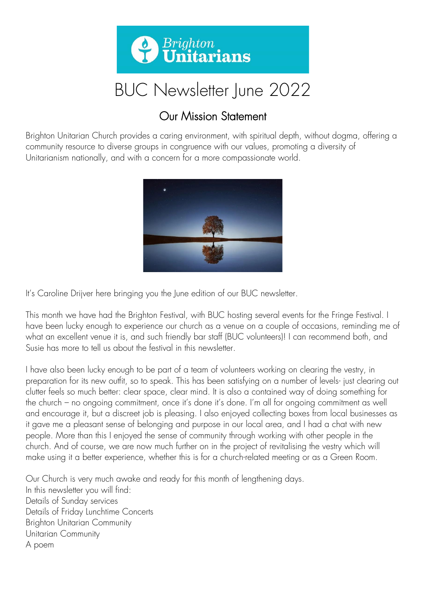

# BUC Newsletter June 2022

# Our Mission Statement

Brighton Unitarian Church provides a caring environment, with spiritual depth, without dogma, offering a community resource to diverse groups in congruence with our values, promoting a diversity of Unitarianism nationally, and with a concern for a more compassionate world.



It's Caroline Drijver here bringing you the June edition of our BUC newsletter.

This month we have had the Brighton Festival, with BUC hosting several events for the Fringe Festival. I have been lucky enough to experience our church as a venue on a couple of occasions, reminding me of what an excellent venue it is, and such friendly bar staff (BUC volunteers)! I can recommend both, and Susie has more to tell us about the festival in this newsletter.

I have also been lucky enough to be part of a team of volunteers working on clearing the vestry, in preparation for its new outfit, so to speak. This has been satisfying on a number of levels- just clearing out clutter feels so much better: clear space, clear mind. It is also a contained way of doing something for the church – no ongoing commitment, once it's done it's done. I'm all for ongoing commitment as well and encourage it, but a discreet job is pleasing. I also enjoyed collecting boxes from local businesses as it gave me a pleasant sense of belonging and purpose in our local area, and I had a chat with new people. More than this I enjoyed the sense of community through working with other people in the church. And of course, we are now much further on in the project of revitalising the vestry which will make using it a better experience, whether this is for a church-related meeting or as a Green Room.

Our Church is very much awake and ready for this month of lengthening days. In this newsletter you will find: Details of Sunday services Details of Friday Lunchtime Concerts Brighton Unitarian Community Unitarian Community A poem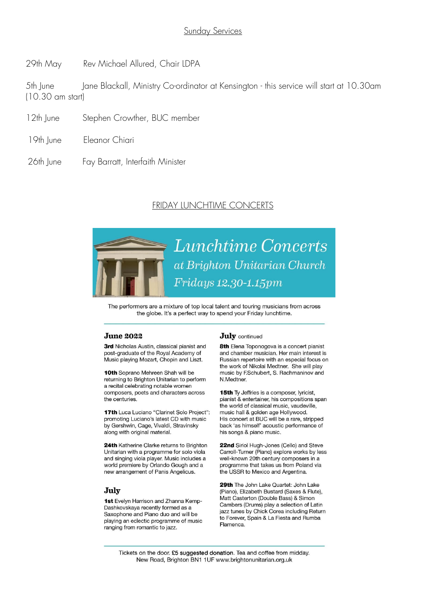29th May Rev Michael Allured, Chair LDPA

5th June Jane Blackall, Ministry Co-ordinator at Kensington - this service will start at 10.30am (10.30 am start)

- 12th June Stephen Crowther, BUC member
- 19th June Eleanor Chiari
- 26th June Fay Barratt, Interfaith Minister

#### FRIDAY LUNCHTIME CONCERTS



The performers are a mixture of top local talent and touring musicians from across the globe. It's a perfect way to spend your Friday lunchtime.

#### **June 2022**

3rd Nicholas Austin, classical pianist and post-graduate of the Royal Academy of Music playing Mozart, Chopin and Liszt.

10th Soprano Mehreen Shah will be returning to Brighton Unitarian to perform a recital celebrating notable women composers, poets and characters across the centuries.

**17th** Luca Luciano "Clarinet Solo Project": promoting Luciano's latest CD with music by Gershwin, Cage, Vivaldi, Stravinsky along with original material.

24th Katherine Clarke returns to Brighton Unitarian with a programme for solo viola and singing viola player. Music includes a world premiere by Orlando Gough and a new arrangement of Panis Angelicus.

#### July

1st Evelyn Harrison and Zhanna Kemp-Dashkovskaya recently formed as a Saxophone and Piano duo and will be playing an eclectic programme of music ranging from romantic to jazz.

#### **July** continued

8th Elena Toponogova is a concert pianist and chamber musician. Her main interest is Russian repertoire with an especial focus on the work of Nikolai Medtner. She will play music by F.Schubert, S. Rachmaninov and N Medtner

15th Ty Jeffries is a composer, lyricist, pianist & entertainer, his compositions span the world of classical music, vaudeville. music hall & golden age Hollywood. His concert at BUC will be a rare, stripped back 'as himself' acoustic performance of his songs & piano music.

22nd Siriol Hugh-Jones (Cello) and Steve Carroll-Turner (Piano) explore works by less well-known 20th century composers in a programme that takes us from Poland via the USSR to Mexico and Argentina.

29th The John Lake Quartet: John Lake (Piano), Elizabeth Bustard (Saxes & Flute), Matt Casterton (Double Bass) & Simon Cambers (Drums) play a selection of Latin jazz tunes by Chick Corea including Return to Forever, Spain & La Fiesta and Rumba Flamenca

Tickets on the door. £5 suggested donation. Tea and coffee from midday. New Road, Brighton BN1 1UF www.brightonunitarian.org.uk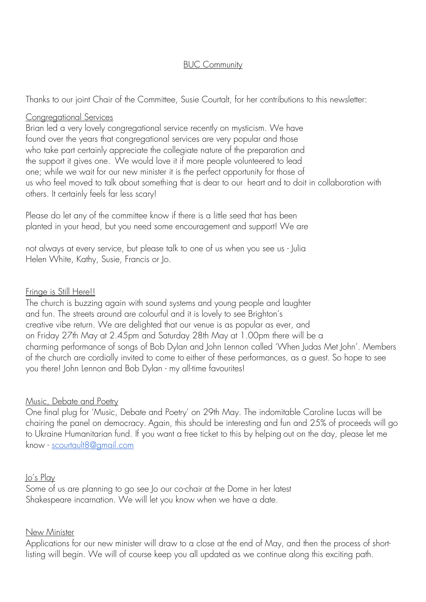#### BUC Community

Thanks to our joint Chair of the Committee, Susie Courtalt, for her contributions to this newsletter:

#### Congregational Services

Brian led a very lovely congregational service recently on mysticism. We have found over the years that congregational services are very popular and those who take part certainly appreciate the collegiate nature of the preparation and the support it gives one. We would love it if more people volunteered to lead one; while we wait for our new minister it is the perfect opportunity for those of us who feel moved to talk about something that is dear to our heart and to doit in collaboration with others. It certainly feels far less scary!

Please do let any of the committee know if there is a little seed that has been planted in your head, but you need some encouragement and support! We are

not always at every service, but please talk to one of us when you see us - Julia Helen White, Kathy, Susie, Francis or Jo.

#### Fringe is Still Here!!

The church is buzzing again with sound systems and young people and laughter and fun. The streets around are colourful and it is lovely to see Brighton's creative vibe return. We are delighted that our venue is as popular as ever, and on Friday 27th May at 2.45pm and Saturday 28th May at 1.00pm there will be a charming performance of songs of Bob Dylan and John Lennon called 'When Judas Met John'. Members of the church are cordially invited to come to either of these performances, as a guest. So hope to see you there! John Lennon and Bob Dylan - my all-time favourites!

#### Music, Debate and Poetry

One final plug for 'Music, Debate and Poetry' on 29th May. The indomitable Caroline Lucas will be chairing the panel on democracy. Again, this should be interesting and fun and 25% of proceeds will go to Ukraine Humanitarian fund. If you want a free ticket to this by helping out on the day, please let me know - [scourtault8@gmail.com](mailto:scourtault8@gmail.com)

#### Jo's Play

Some of us are planning to go see Jo our co-chair at the Dome in her latest Shakespeare incarnation. We will let you know when we have a date.

#### New Minister

Applications for our new minister will draw to a close at the end of May, and then the process of shortlisting will begin. We will of course keep you all updated as we continue along this exciting path.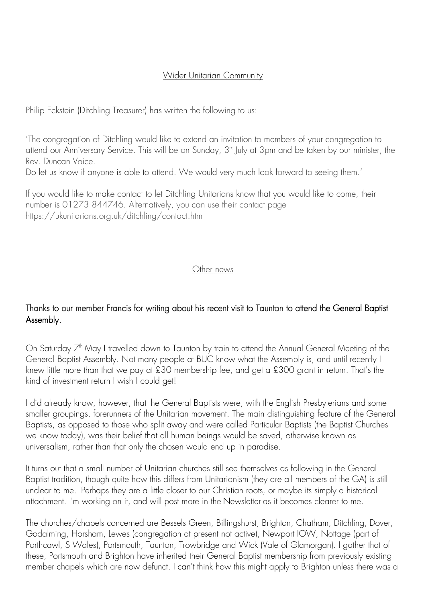## Wider Unitarian Community

Philip Eckstein (Ditchling Treasurer) has written the following to us:

'The congregation of Ditchling would like to extend an invitation to members of your congregation to attend our Anniversary Service. This will be on Sunday, 3<sup>rd</sup> July at 3pm and be taken by our minister, the Rev. Duncan Voice.

Do let us know if anyone is able to attend. We would very much look forward to seeing them.'

If you would like to make contact to let Ditchling Unitarians know that you would like to come, their number is 01273 844746. Alternatively, you can use their contact page https://ukunitarians.org.uk/ditchling/contact.htm

## Other news

# Thanks to our member Francis for writing about his recent visit to Taunton to attend the General Baptist Assembly.

On Saturday 7<sup>th</sup> May I travelled down to Taunton by train to attend the Annual General Meeting of the General Baptist Assembly. Not many people at BUC know what the Assembly is, and until recently I knew little more than that we pay at £30 membership fee, and get a £300 grant in return. That's the kind of investment return I wish I could get!

I did already know, however, that the General Baptists were, with the English Presbyterians and some smaller groupings, forerunners of the Unitarian movement. The main distinguishing feature of the General Baptists, as opposed to those who split away and were called Particular Baptists (the Baptist Churches we know today), was their belief that all human beings would be saved, otherwise known as universalism, rather than that only the chosen would end up in paradise.

It turns out that a small number of Unitarian churches still see themselves as following in the General Baptist tradition, though quite how this differs from Unitarianism (they are all members of the GA) is still unclear to me. Perhaps they are a little closer to our Christian roots, or maybe its simply a historical attachment. I'm working on it, and will post more in the Newsletter as it becomes clearer to me.

The churches/chapels concerned are Bessels Green, Billingshurst, Brighton, Chatham, Ditchling, Dover, Godalming, Horsham, Lewes (congregation at present not active), Newport IOW, Nottage (part of Porthcawl, S Wales), Portsmouth, Taunton, Trowbridge and Wick (Vale of Glamorgan). I gather that of these, Portsmouth and Brighton have inherited their General Baptist membership from previously existing member chapels which are now defunct. I can't think how this might apply to Brighton unless there was a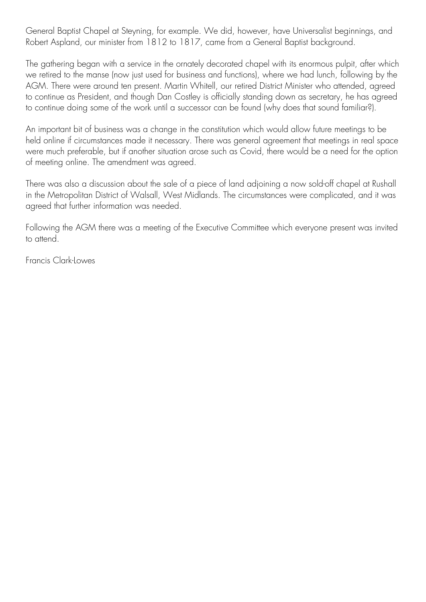General Baptist Chapel at Steyning, for example. We did, however, have Universalist beginnings, and Robert Aspland, our minister from 1812 to 1817, came from a General Baptist background.

The gathering began with a service in the ornately decorated chapel with its enormous pulpit, after which we retired to the manse (now just used for business and functions), where we had lunch, following by the AGM. There were around ten present. Martin Whitell, our retired District Minister who attended, agreed to continue as President, and though Dan Costley is officially standing down as secretary, he has agreed to continue doing some of the work until a successor can be found (why does that sound familiar?).

An important bit of business was a change in the constitution which would allow future meetings to be held online if circumstances made it necessary. There was general agreement that meetings in real space were much preferable, but if another situation arose such as Covid, there would be a need for the option of meeting online. The amendment was agreed.

There was also a discussion about the sale of a piece of land adjoining a now sold-off chapel at Rushall in the Metropolitan District of Walsall, West Midlands. The circumstances were complicated, and it was agreed that further information was needed.

Following the AGM there was a meeting of the Executive Committee which everyone present was invited to attend.

Francis Clark-Lowes